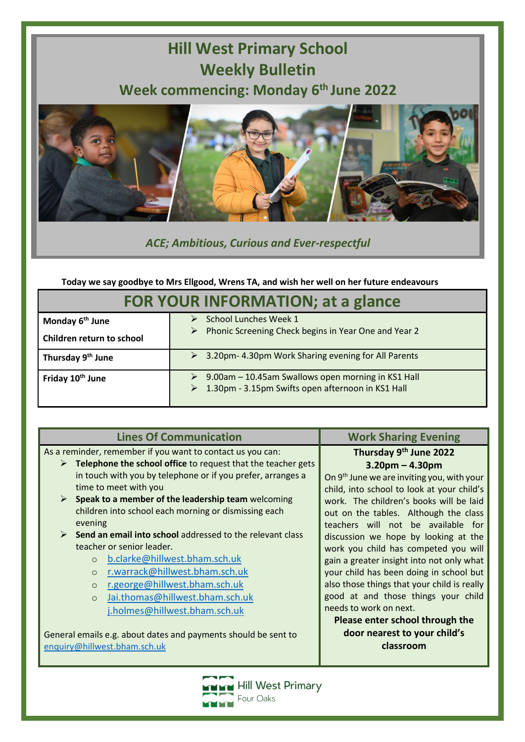## **Hill West Primary School Weekly Bulletin Week commencing: Monday 6 th June 2022**



*ACE; Ambitious, Curious and Ever-respectful*

**Today we say goodbye to Mrs Ellgood, Wrens TA, and wish her well on her future endeavours**

| <b>FOR YOUR INFORMATION; at a glance</b> |                                                                                                         |
|------------------------------------------|---------------------------------------------------------------------------------------------------------|
| Monday 6 <sup>th</sup> June              | School Lunches Week 1                                                                                   |
| Children return to school                | Phonic Screening Check begins in Year One and Year 2<br>➤                                               |
| Thursday 9 <sup>th</sup> June            | ▶ 3.20pm-4.30pm Work Sharing evening for All Parents                                                    |
| Friday 10 <sup>th</sup> June             | 9.00am - 10.45am Swallows open morning in KS1 Hall<br>1.30pm - 3.15pm Swifts open afternoon in KS1 Hall |

| <b>Lines Of Communication</b>                                     | <b>Work Sharing Evening</b>                            |
|-------------------------------------------------------------------|--------------------------------------------------------|
| As a reminder, remember if you want to contact us you can:        | Thursday 9th June 2022                                 |
| Telephone the school office to request that the teacher gets<br>➤ | $3.20$ pm – 4.30pm                                     |
| in touch with you by telephone or if you prefer, arranges a       | On 9 <sup>th</sup> June we are inviting you, with your |
| time to meet with you                                             | child, into school to look at your child's             |
| Speak to a member of the leadership team welcoming<br>➤           | work. The children's books will be laid                |
| children into school each morning or dismissing each              | out on the tables. Although the class                  |
| evening                                                           | teachers will not be available for                     |
| Send an email into school addressed to the relevant class         | discussion we hope by looking at the                   |
| teacher or senior leader.                                         | work you child has competed you will                   |
| b.clarke@hillwest.bham.sch.uk                                     | gain a greater insight into not only what              |
| r.warrack@hillwest.bham.sch.uk<br>$\circ$                         | your child has been doing in school but                |
| r.george@hillwest.bham.sch.uk<br>$\circ$                          | also those things that your child is really            |
| Jai.thomas@hillwest.bham.sch.uk<br>$\Omega$                       | good at and those things your child                    |
| j.holmes@hillwest.bham.sch.uk                                     | needs to work on next.                                 |
|                                                                   | Please enter school through the                        |
| General emails e.g. about dates and payments should be sent to    | door nearest to your child's                           |
| enquiry@hillwest.bham.sch.uk                                      | classroom                                              |
|                                                                   |                                                        |